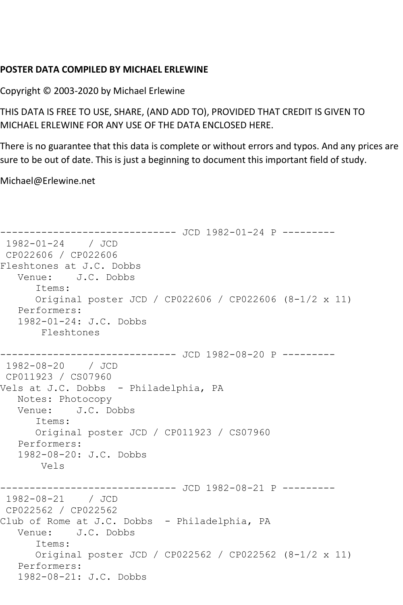## **POSTER DATA COMPILED BY MICHAEL ERLEWINE**

Copyright © 2003-2020 by Michael Erlewine

THIS DATA IS FREE TO USE, SHARE, (AND ADD TO), PROVIDED THAT CREDIT IS GIVEN TO MICHAEL ERLEWINE FOR ANY USE OF THE DATA ENCLOSED HERE.

There is no guarantee that this data is complete or without errors and typos. And any prices are sure to be out of date. This is just a beginning to document this important field of study.

Michael@Erlewine.net

```
------------------------------ JCD 1982-01-24 P ---------
1982-01-24 / JCD 
CP022606 / CP022606
Fleshtones at J.C. Dobbs
   Venue: J.C. Dobbs
      Items:
      Original poster JCD / CP022606 / CP022606 (8-1/2 x 11)
   Performers:
   1982-01-24: J.C. Dobbs
       Fleshtones
----------------------------- JCD 1982-08-20 P ---------
1982-08-20 / JCD 
CP011923 / CS07960
Vels at J.C. Dobbs - Philadelphia, PA
   Notes: Photocopy
   Venue: J.C. Dobbs
      Items:
      Original poster JCD / CP011923 / CS07960
   Performers:
   1982-08-20: J.C. Dobbs
       Vels
------------------------------ JCD 1982-08-21 P ---------
1982-08-21 / JCD 
CP022562 / CP022562
Club of Rome at J.C. Dobbs - Philadelphia, PA
   Venue: J.C. Dobbs
      Items:
      Original poster JCD / CP022562 / CP022562 (8-1/2 x 11)
   Performers:
   1982-08-21: J.C. Dobbs
```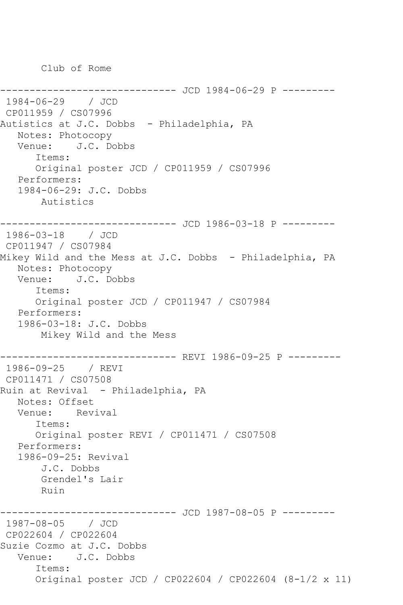Club of Rome

------------ JCD 1984-06-29 P ---------1984-06-29 / JCD CP011959 / CS07996 Autistics at J.C. Dobbs - Philadelphia, PA Notes: Photocopy Venue: J.C. Dobbs Items: Original poster JCD / CP011959 / CS07996 Performers: 1984-06-29: J.C. Dobbs Autistics ------------------------------ JCD 1986-03-18 P --------- 1986-03-18 / JCD CP011947 / CS07984 Mikey Wild and the Mess at J.C. Dobbs - Philadelphia, PA Notes: Photocopy Venue: J.C. Dobbs Items: Original poster JCD / CP011947 / CS07984 Performers: 1986-03-18: J.C. Dobbs Mikey Wild and the Mess ------------------------------ REVI 1986-09-25 P --------- 1986-09-25 / REVI CP011471 / CS07508 Ruin at Revival - Philadelphia, PA Notes: Offset Venue: Revival Items: Original poster REVI / CP011471 / CS07508 Performers: 1986-09-25: Revival J.C. Dobbs Grendel's Lair Ruin ------------ JCD 1987-08-05 P ---------1987-08-05 / JCD CP022604 / CP022604 Suzie Cozmo at J.C. Dobbs Venue: J.C. Dobbs Items: Original poster JCD / CP022604 / CP022604 (8-1/2 x 11)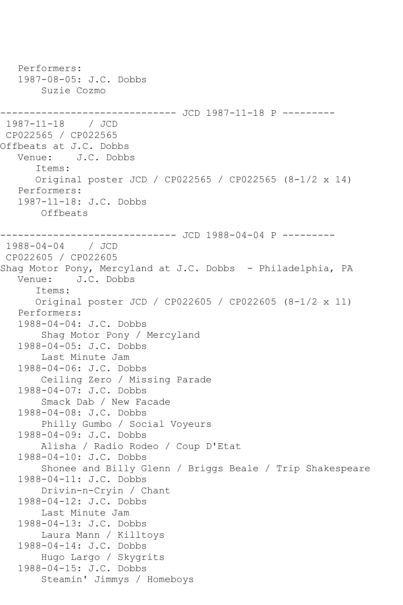```
 Performers:
    1987-08-05: J.C. Dobbs
        Suzie Cozmo
------------------------------ JCD 1987-11-18 P ---------
1987-11-18 / JCD 
CP022565 / CP022565
Offbeats at J.C. Dobbs
   Venue: J.C. Dobbs
       Items:
       Original poster JCD / CP022565 / CP022565 (8-1/2 x 14)
    Performers:
    1987-11-18: J.C. Dobbs
        Offbeats
                    ---------- JCD 1988-04-04 P ---------
1988-04-04 / JCD 
CP022605 / CP022605
Shag Motor Pony, Mercyland at J.C. Dobbs - Philadelphia, PA
   Venue: J.C. Dobbs
       Items:
       Original poster JCD / CP022605 / CP022605 (8-1/2 x 11)
    Performers:
    1988-04-04: J.C. Dobbs
        Shag Motor Pony / Mercyland
    1988-04-05: J.C. Dobbs
        Last Minute Jam
    1988-04-06: J.C. Dobbs
        Ceiling Zero / Missing Parade
    1988-04-07: J.C. Dobbs
        Smack Dab / New Facade
    1988-04-08: J.C. Dobbs
        Philly Gumbo / Social Voyeurs
    1988-04-09: J.C. Dobbs
        Alisha / Radio Rodeo / Coup D'Etat
    1988-04-10: J.C. Dobbs
        Shonee and Billy Glenn / Briggs Beale / Trip Shakespeare
    1988-04-11: J.C. Dobbs
        Drivin-n-Cryin / Chant
    1988-04-12: J.C. Dobbs
        Last Minute Jam
    1988-04-13: J.C. Dobbs
        Laura Mann / Killtoys
    1988-04-14: J.C. Dobbs
        Hugo Largo / Skygrits
    1988-04-15: J.C. Dobbs
        Steamin' Jimmys / Homeboys
```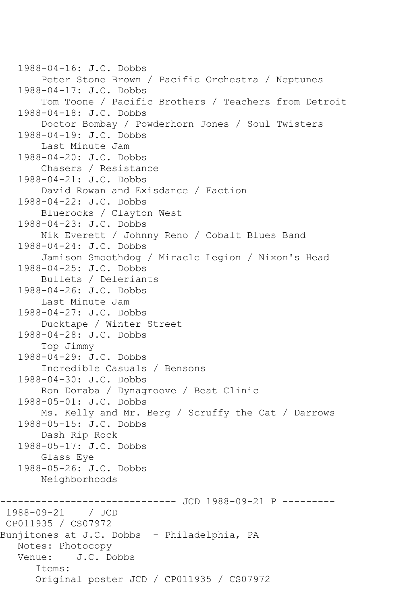1988-04-16: J.C. Dobbs Peter Stone Brown / Pacific Orchestra / Neptunes 1988-04-17: J.C. Dobbs Tom Toone / Pacific Brothers / Teachers from Detroit 1988-04-18: J.C. Dobbs Doctor Bombay / Powderhorn Jones / Soul Twisters 1988-04-19: J.C. Dobbs Last Minute Jam 1988-04-20: J.C. Dobbs Chasers / Resistance 1988-04-21: J.C. Dobbs David Rowan and Exisdance / Faction 1988-04-22: J.C. Dobbs Bluerocks / Clayton West 1988-04-23: J.C. Dobbs Nik Everett / Johnny Reno / Cobalt Blues Band 1988-04-24: J.C. Dobbs Jamison Smoothdog / Miracle Legion / Nixon's Head 1988-04-25: J.C. Dobbs Bullets / Deleriants 1988-04-26: J.C. Dobbs Last Minute Jam 1988-04-27: J.C. Dobbs Ducktape / Winter Street 1988-04-28: J.C. Dobbs Top Jimmy 1988-04-29: J.C. Dobbs Incredible Casuals / Bensons 1988-04-30: J.C. Dobbs Ron Doraba / Dynagroove / Beat Clinic 1988-05-01: J.C. Dobbs Ms. Kelly and Mr. Berg / Scruffy the Cat / Darrows 1988-05-15: J.C. Dobbs Dash Rip Rock 1988-05-17: J.C. Dobbs Glass Eye 1988-05-26: J.C. Dobbs Neighborhoods ----------------------------- JCD 1988-09-21 P ---------1988-09-21 / JCD CP011935 / CS07972 Bunjitones at J.C. Dobbs - Philadelphia, PA Notes: Photocopy Venue: J.C. Dobbs Items: Original poster JCD / CP011935 / CS07972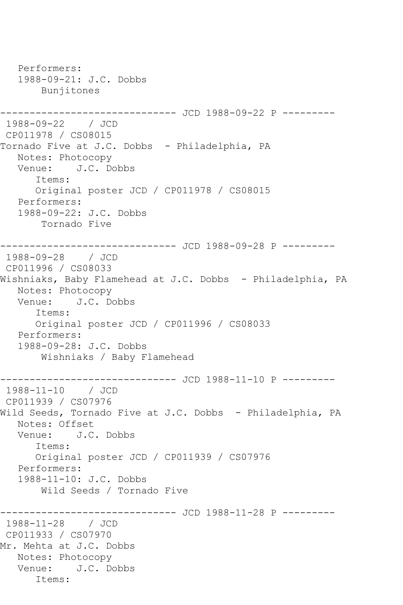Performers: 1988-09-21: J.C. Dobbs Bunjitones ----------------------------- JCD 1988-09-22 P ---------1988-09-22 / JCD CP011978 / CS08015 Tornado Five at J.C. Dobbs - Philadelphia, PA Notes: Photocopy Venue: J.C. Dobbs Items: Original poster JCD / CP011978 / CS08015 Performers: 1988-09-22: J.C. Dobbs Tornado Five ----------------------------- JCD 1988-09-28 P ---------1988-09-28 / JCD CP011996 / CS08033 Wishniaks, Baby Flamehead at J.C. Dobbs - Philadelphia, PA Notes: Photocopy Venue: J.C. Dobbs Items: Original poster JCD / CP011996 / CS08033 Performers: 1988-09-28: J.C. Dobbs Wishniaks / Baby Flamehead ------------------------------ JCD 1988-11-10 P --------- 1988-11-10 / JCD CP011939 / CS07976 Wild Seeds, Tornado Five at J.C. Dobbs - Philadelphia, PA Notes: Offset Venue: J.C. Dobbs Items: Original poster JCD / CP011939 / CS07976 Performers: 1988-11-10: J.C. Dobbs Wild Seeds / Tornado Five ---------------- JCD 1988-11-28 P ---------1988-11-28 / JCD CP011933 / CS07970 Mr. Mehta at J.C. Dobbs Notes: Photocopy Venue: J.C. Dobbs Items: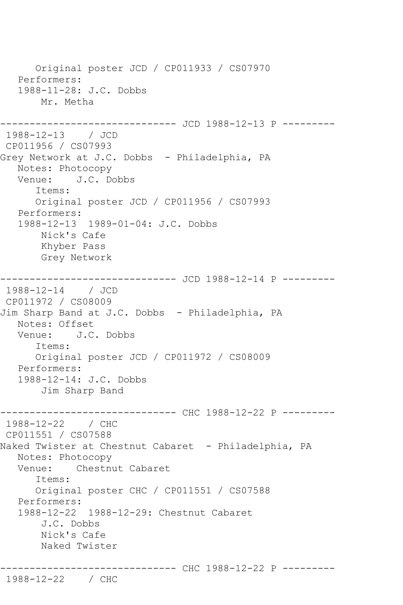Original poster JCD / CP011933 / CS07970 Performers: 1988-11-28: J.C. Dobbs Mr. Metha ----------- JCD 1988-12-13 P ----------1988-12-13 / JCD CP011956 / CS07993 Grey Network at J.C. Dobbs - Philadelphia, PA Notes: Photocopy Venue: J.C. Dobbs Items: Original poster JCD / CP011956 / CS07993 Performers: 1988-12-13 1989-01-04: J.C. Dobbs Nick's Cafe Khyber Pass Grey Network ------------------------------ JCD 1988-12-14 P --------- 1988-12-14 / JCD CP011972 / CS08009 Jim Sharp Band at J.C. Dobbs - Philadelphia, PA Notes: Offset<br>Venue: J.C J.C. Dobbs Items: Original poster JCD / CP011972 / CS08009 Performers: 1988-12-14: J.C. Dobbs Jim Sharp Band ------------------------------ CHC 1988-12-22 P --------- 1988-12-22 / CHC CP011551 / CS07588 Naked Twister at Chestnut Cabaret - Philadelphia, PA Notes: Photocopy Venue: Chestnut Cabaret Items: Original poster CHC / CP011551 / CS07588 Performers: 1988-12-22 1988-12-29: Chestnut Cabaret J.C. Dobbs Nick's Cafe Naked Twister ------------------------------ CHC 1988-12-22 P --------- 1988-12-22 / CHC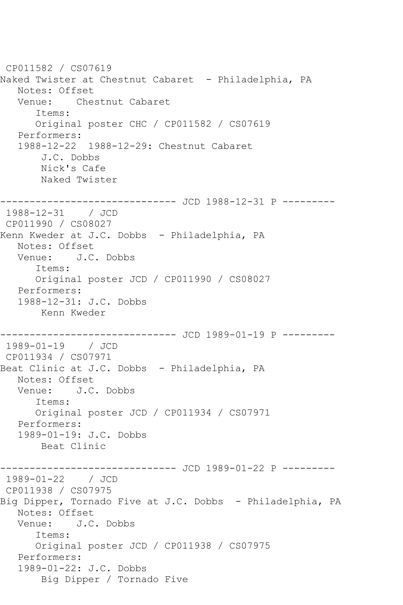CP011582 / CS07619 Naked Twister at Chestnut Cabaret - Philadelphia, PA Notes: Offset Venue: Chestnut Cabaret Items: Original poster CHC / CP011582 / CS07619 Performers: 1988-12-22 1988-12-29: Chestnut Cabaret J.C. Dobbs Nick's Cafe Naked Twister ------------------------------ JCD 1988-12-31 P --------- 1988-12-31 / JCD CP011990 / CS08027 Kenn Kweder at J.C. Dobbs - Philadelphia, PA Notes: Offset Venue: J.C. Dobbs Items: Original poster JCD / CP011990 / CS08027 Performers: 1988-12-31: J.C. Dobbs Kenn Kweder ------------------------------ JCD 1989-01-19 P --------- 1989-01-19 / JCD CP011934 / CS07971 Beat Clinic at J.C. Dobbs - Philadelphia, PA Notes: Offset Venue: J.C. Dobbs Items: Original poster JCD / CP011934 / CS07971 Performers: 1989-01-19: J.C. Dobbs Beat Clinic ------------------------------ JCD 1989-01-22 P --------- 1989-01-22 / JCD CP011938 / CS07975 Big Dipper, Tornado Five at J.C. Dobbs - Philadelphia, PA Notes: Offset Venue: J.C. Dobbs Items: Original poster JCD / CP011938 / CS07975 Performers: 1989-01-22: J.C. Dobbs Big Dipper / Tornado Five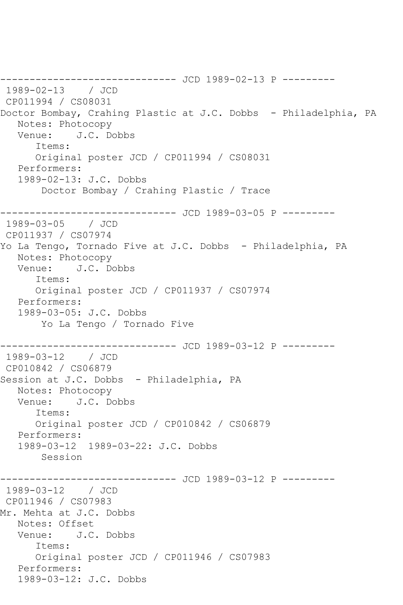------------------------------ JCD 1989-02-13 P --------- 1989-02-13 / JCD CP011994 / CS08031 Doctor Bombay, Crahing Plastic at J.C. Dobbs - Philadelphia, PA Notes: Photocopy Venue: J.C. Dobbs Items: Original poster JCD / CP011994 / CS08031 Performers: 1989-02-13: J.C. Dobbs Doctor Bombay / Crahing Plastic / Trace ------------------------------ JCD 1989-03-05 P --------- 1989-03-05 / JCD CP011937 / CS07974 Yo La Tengo, Tornado Five at J.C. Dobbs - Philadelphia, PA Notes: Photocopy Venue: J.C. Dobbs Items: Original poster JCD / CP011937 / CS07974 Performers: 1989-03-05: J.C. Dobbs Yo La Tengo / Tornado Five ------------------------------ JCD 1989-03-12 P --------- 1989-03-12 / JCD CP010842 / CS06879 Session at J.C. Dobbs - Philadelphia, PA Notes: Photocopy Venue: J.C. Dobbs Items: Original poster JCD / CP010842 / CS06879 Performers: 1989-03-12 1989-03-22: J.C. Dobbs Session ---------- JCD 1989-03-12 P ---------1989-03-12 / JCD CP011946 / CS07983 Mr. Mehta at J.C. Dobbs Notes: Offset Venue: J.C. Dobbs Items: Original poster JCD / CP011946 / CS07983 Performers: 1989-03-12: J.C. Dobbs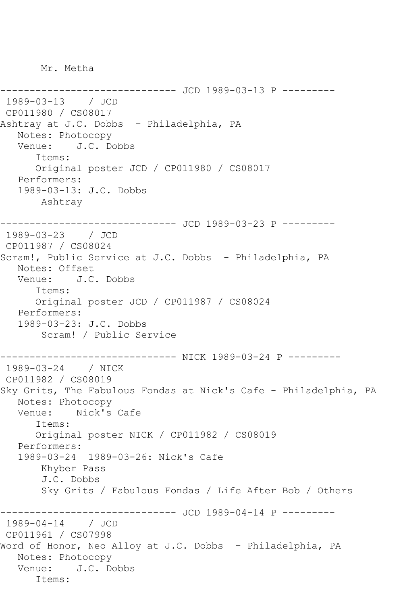Mr. Metha

-------------- JCD 1989-03-13 P ---------1989-03-13 / JCD CP011980 / CS08017 Ashtray at J.C. Dobbs - Philadelphia, PA Notes: Photocopy Venue: J.C. Dobbs Items: Original poster JCD / CP011980 / CS08017 Performers: 1989-03-13: J.C. Dobbs Ashtray ------------------------------ JCD 1989-03-23 P --------- 1989-03-23 / JCD CP011987 / CS08024 Scram!, Public Service at J.C. Dobbs - Philadelphia, PA Notes: Offset Venue: J.C. Dobbs Items: Original poster JCD / CP011987 / CS08024 Performers: 1989-03-23: J.C. Dobbs Scram! / Public Service ------------------------------ NICK 1989-03-24 P --------- 1989-03-24 / NICK CP011982 / CS08019 Sky Grits, The Fabulous Fondas at Nick's Cafe - Philadelphia, PA Notes: Photocopy Venue: Nick's Cafe Items: Original poster NICK / CP011982 / CS08019 Performers: 1989-03-24 1989-03-26: Nick's Cafe Khyber Pass J.C. Dobbs Sky Grits / Fabulous Fondas / Life After Bob / Others ------------------------------ JCD 1989-04-14 P --------- 1989-04-14 / JCD CP011961 / CS07998 Word of Honor, Neo Alloy at J.C. Dobbs - Philadelphia, PA Notes: Photocopy Venue: J.C. Dobbs Items: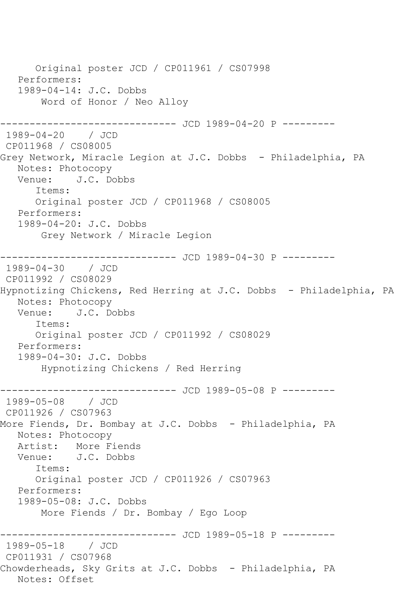Original poster JCD / CP011961 / CS07998 Performers: 1989-04-14: J.C. Dobbs Word of Honor / Neo Alloy ------------ JCD 1989-04-20 P ---------1989-04-20 / JCD CP011968 / CS08005 Grey Network, Miracle Legion at J.C. Dobbs - Philadelphia, PA Notes: Photocopy Venue: J.C. Dobbs Items: Original poster JCD / CP011968 / CS08005 Performers: 1989-04-20: J.C. Dobbs Grey Network / Miracle Legion ------------------------------ JCD 1989-04-30 P --------- 1989-04-30 / JCD CP011992 / CS08029 Hypnotizing Chickens, Red Herring at J.C. Dobbs - Philadelphia, PA Notes: Photocopy Venue: J.C. Dobbs Items: Original poster JCD / CP011992 / CS08029 Performers: 1989-04-30: J.C. Dobbs Hypnotizing Chickens / Red Herring ------------------------------ JCD 1989-05-08 P --------- 1989-05-08 / JCD CP011926 / CS07963 More Fiends, Dr. Bombay at J.C. Dobbs - Philadelphia, PA Notes: Photocopy Artist: More Fiends Venue: J.C. Dobbs Items: Original poster JCD / CP011926 / CS07963 Performers: 1989-05-08: J.C. Dobbs More Fiends / Dr. Bombay / Ego Loop ----------------- JCD 1989-05-18 P ----------<br>/ JCD 1989-05-18 CP011931 / CS07968 Chowderheads, Sky Grits at J.C. Dobbs - Philadelphia, PA Notes: Offset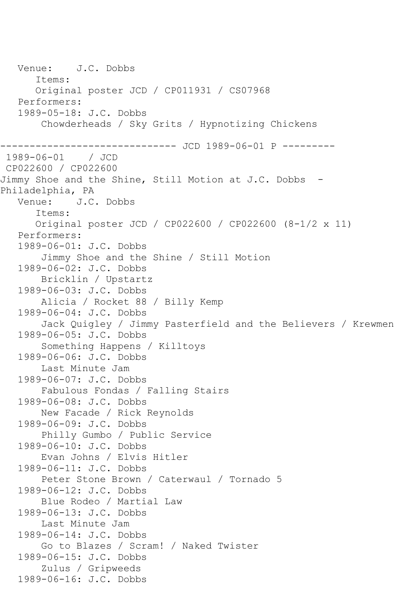Venue: J.C. Dobbs Items: Original poster JCD / CP011931 / CS07968 Performers: 1989-05-18: J.C. Dobbs Chowderheads / Sky Grits / Hypnotizing Chickens ----------------------------- JCD 1989-06-01 P ---------1989-06-01 / JCD CP022600 / CP022600 Jimmy Shoe and the Shine, Still Motion at J.C. Dobbs -Philadelphia, PA<br>Venue: J.C J.C. Dobbs Items: Original poster JCD / CP022600 / CP022600 (8-1/2 x 11) Performers: 1989-06-01: J.C. Dobbs Jimmy Shoe and the Shine / Still Motion 1989-06-02: J.C. Dobbs Bricklin / Upstartz 1989-06-03: J.C. Dobbs Alicia / Rocket 88 / Billy Kemp 1989-06-04: J.C. Dobbs Jack Quigley / Jimmy Pasterfield and the Believers / Krewmen 1989-06-05: J.C. Dobbs Something Happens / Killtoys 1989-06-06: J.C. Dobbs Last Minute Jam 1989-06-07: J.C. Dobbs Fabulous Fondas / Falling Stairs 1989-06-08: J.C. Dobbs New Facade / Rick Reynolds 1989-06-09: J.C. Dobbs Philly Gumbo / Public Service 1989-06-10: J.C. Dobbs Evan Johns / Elvis Hitler 1989-06-11: J.C. Dobbs Peter Stone Brown / Caterwaul / Tornado 5 1989-06-12: J.C. Dobbs Blue Rodeo / Martial Law 1989-06-13: J.C. Dobbs Last Minute Jam 1989-06-14: J.C. Dobbs Go to Blazes / Scram! / Naked Twister 1989-06-15: J.C. Dobbs Zulus / Gripweeds 1989-06-16: J.C. Dobbs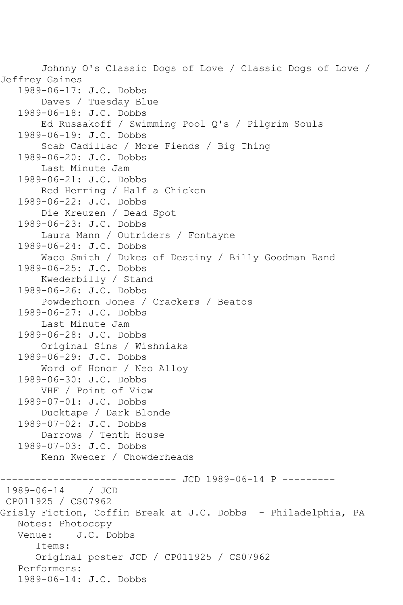Johnny O's Classic Dogs of Love / Classic Dogs of Love / Jeffrey Gaines 1989-06-17: J.C. Dobbs Daves / Tuesday Blue 1989-06-18: J.C. Dobbs Ed Russakoff / Swimming Pool Q's / Pilgrim Souls 1989-06-19: J.C. Dobbs Scab Cadillac / More Fiends / Big Thing 1989-06-20: J.C. Dobbs Last Minute Jam 1989-06-21: J.C. Dobbs Red Herring / Half a Chicken 1989-06-22: J.C. Dobbs Die Kreuzen / Dead Spot 1989-06-23: J.C. Dobbs Laura Mann / Outriders / Fontayne 1989-06-24: J.C. Dobbs Waco Smith / Dukes of Destiny / Billy Goodman Band 1989-06-25: J.C. Dobbs Kwederbilly / Stand 1989-06-26: J.C. Dobbs Powderhorn Jones / Crackers / Beatos 1989-06-27: J.C. Dobbs Last Minute Jam 1989-06-28: J.C. Dobbs Original Sins / Wishniaks 1989-06-29: J.C. Dobbs Word of Honor / Neo Alloy 1989-06-30: J.C. Dobbs VHF / Point of View 1989-07-01: J.C. Dobbs Ducktape / Dark Blonde 1989-07-02: J.C. Dobbs Darrows / Tenth House 1989-07-03: J.C. Dobbs Kenn Kweder / Chowderheads ------------------------------ JCD 1989-06-14 P ---------  $1989 - 06 - 14$ CP011925 / CS07962 Grisly Fiction, Coffin Break at J.C. Dobbs - Philadelphia, PA Notes: Photocopy<br>Venue: J.C. Do J.C. Dobbs Items: Original poster JCD / CP011925 / CS07962 Performers: 1989-06-14: J.C. Dobbs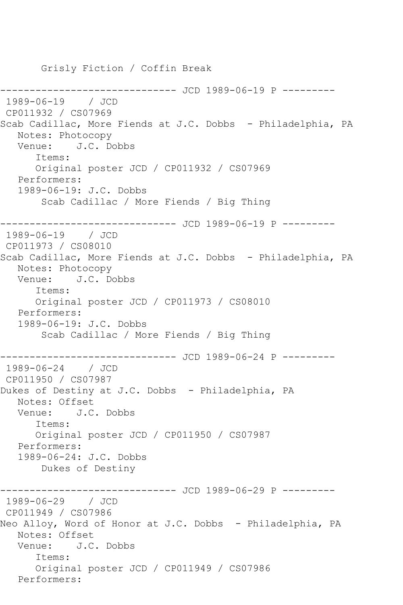Grisly Fiction / Coffin Break ------------ JCD 1989-06-19 P ---------1989-06-19 / JCD CP011932 / CS07969 Scab Cadillac, More Fiends at J.C. Dobbs - Philadelphia, PA Notes: Photocopy Venue: J.C. Dobbs Items: Original poster JCD / CP011932 / CS07969 Performers: 1989-06-19: J.C. Dobbs Scab Cadillac / More Fiends / Big Thing ------------------------------ JCD 1989-06-19 P --------- 1989-06-19 / JCD CP011973 / CS08010 Scab Cadillac, More Fiends at J.C. Dobbs - Philadelphia, PA Notes: Photocopy Venue: J.C. Dobbs Items: Original poster JCD / CP011973 / CS08010 Performers: 1989-06-19: J.C. Dobbs Scab Cadillac / More Fiends / Big Thing ------------------------------ JCD 1989-06-24 P --------- 1989-06-24 / JCD CP011950 / CS07987 Dukes of Destiny at J.C. Dobbs - Philadelphia, PA Notes: Offset Venue: J.C. Dobbs Items: Original poster JCD / CP011950 / CS07987 Performers: 1989-06-24: J.C. Dobbs Dukes of Destiny ------------------------------ JCD 1989-06-29 P --------- 1989-06-29 / JCD CP011949 / CS07986 Neo Alloy, Word of Honor at J.C. Dobbs - Philadelphia, PA Notes: Offset Venue: J.C. Dobbs Items: Original poster JCD / CP011949 / CS07986 Performers: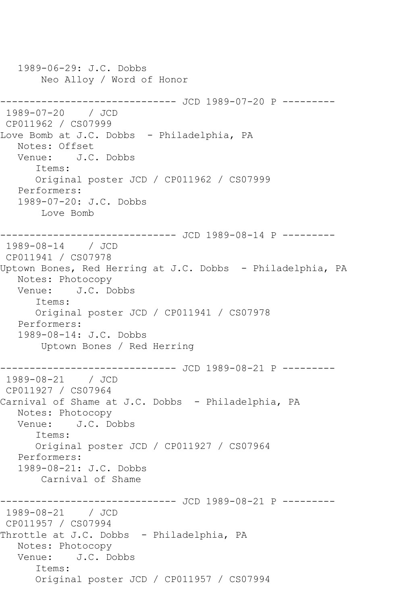1989-06-29: J.C. Dobbs Neo Alloy / Word of Honor ------------------------------ JCD 1989-07-20 P --------- 1989-07-20 / JCD CP011962 / CS07999 Love Bomb at J.C. Dobbs - Philadelphia, PA Notes: Offset Venue: J.C. Dobbs Items: Original poster JCD / CP011962 / CS07999 Performers: 1989-07-20: J.C. Dobbs Love Bomb ------------------------------ JCD 1989-08-14 P --------- 1989-08-14 / JCD CP011941 / CS07978 Uptown Bones, Red Herring at J.C. Dobbs - Philadelphia, PA Notes: Photocopy Venue: J.C. Dobbs Items: Original poster JCD / CP011941 / CS07978 Performers: 1989-08-14: J.C. Dobbs Uptown Bones / Red Herring ------------------------------ JCD 1989-08-21 P --------- 1989-08-21 / JCD CP011927 / CS07964 Carnival of Shame at J.C. Dobbs - Philadelphia, PA Notes: Photocopy Venue: J.C. Dobbs Items: Original poster JCD / CP011927 / CS07964 Performers: 1989-08-21: J.C. Dobbs Carnival of Shame ------------------------------ JCD 1989-08-21 P --------- 1989-08-21 / JCD CP011957 / CS07994 Throttle at J.C. Dobbs - Philadelphia, PA Notes: Photocopy Venue: J.C. Dobbs Items: Original poster JCD / CP011957 / CS07994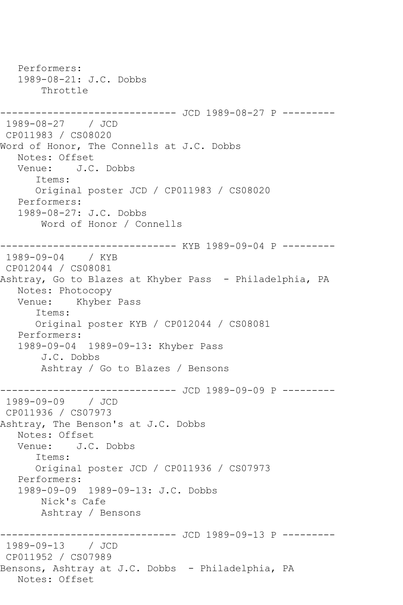Performers: 1989-08-21: J.C. Dobbs Throttle ------------------------------ JCD 1989-08-27 P --------- 1989-08-27 / JCD CP011983 / CS08020 Word of Honor, The Connells at J.C. Dobbs Notes: Offset Venue: J.C. Dobbs Items: Original poster JCD / CP011983 / CS08020 Performers: 1989-08-27: J.C. Dobbs Word of Honor / Connells ------------------------------ KYB 1989-09-04 P --------- 1989-09-04 / KYB CP012044 / CS08081 Ashtray, Go to Blazes at Khyber Pass - Philadelphia, PA Notes: Photocopy Venue: Khyber Pass Items: Original poster KYB / CP012044 / CS08081 Performers: 1989-09-04 1989-09-13: Khyber Pass J.C. Dobbs Ashtray / Go to Blazes / Bensons ------------------------------ JCD 1989-09-09 P --------- 1989-09-09 / JCD CP011936 / CS07973 Ashtray, The Benson's at J.C. Dobbs Notes: Offset Venue: J.C. Dobbs Items: Original poster JCD / CP011936 / CS07973 Performers: 1989-09-09 1989-09-13: J.C. Dobbs Nick's Cafe Ashtray / Bensons ------------------------------ JCD 1989-09-13 P --------- 1989-09-13 / JCD CP011952 / CS07989 Bensons, Ashtray at J.C. Dobbs - Philadelphia, PA Notes: Offset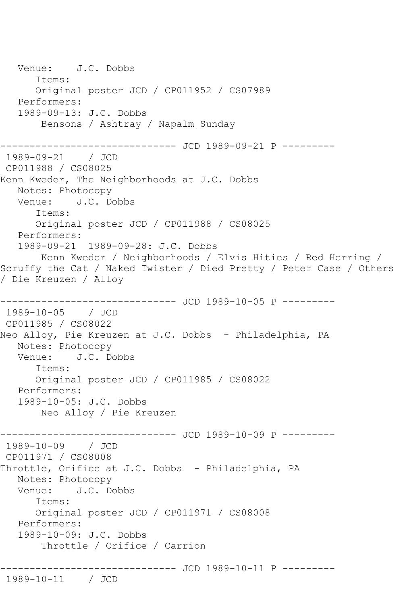Venue: J.C. Dobbs Items: Original poster JCD / CP011952 / CS07989 Performers: 1989-09-13: J.C. Dobbs Bensons / Ashtray / Napalm Sunday ------------------------------ JCD 1989-09-21 P --------- 1989-09-21 / JCD CP011988 / CS08025 Kenn Kweder, The Neighborhoods at J.C. Dobbs Notes: Photocopy Venue: J.C. Dobbs Items: Original poster JCD / CP011988 / CS08025 Performers: 1989-09-21 1989-09-28: J.C. Dobbs Kenn Kweder / Neighborhoods / Elvis Hities / Red Herring / Scruffy the Cat / Naked Twister / Died Pretty / Peter Case / Others / Die Kreuzen / Alloy ------------------- JCD 1989-10-05 P ---------1989-10-05 / JCD CP011985 / CS08022 Neo Alloy, Pie Kreuzen at J.C. Dobbs - Philadelphia, PA Notes: Photocopy<br>Venue: J.C. Do Venue: J.C. Dobbs Items: Original poster JCD / CP011985 / CS08022 Performers: 1989-10-05: J.C. Dobbs Neo Alloy / Pie Kreuzen ------------------------------ JCD 1989-10-09 P --------- 1989-10-09 / JCD CP011971 / CS08008 Throttle, Orifice at J.C. Dobbs - Philadelphia, PA Notes: Photocopy Venue: J.C. Dobbs Items: Original poster JCD / CP011971 / CS08008 Performers: 1989-10-09: J.C. Dobbs Throttle / Orifice / Carrion ------------------------------ JCD 1989-10-11 P --------- 1989-10-11 / JCD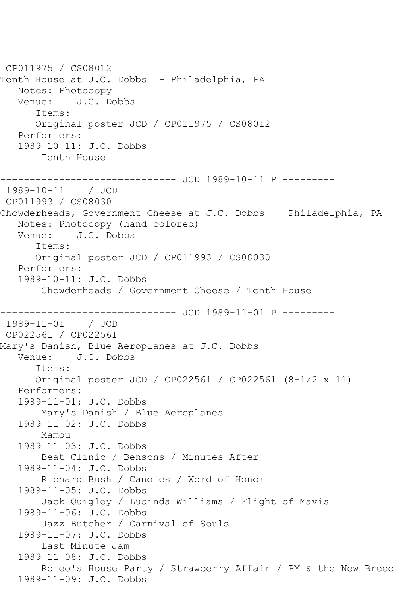CP011975 / CS08012 Tenth House at J.C. Dobbs - Philadelphia, PA Notes: Photocopy Venue: J.C. Dobbs Items: Original poster JCD / CP011975 / CS08012 Performers: 1989-10-11: J.C. Dobbs Tenth House ------------------------------ JCD 1989-10-11 P --------- 1989-10-11 / JCD CP011993 / CS08030 Chowderheads, Government Cheese at J.C. Dobbs - Philadelphia, PA Notes: Photocopy (hand colored) Venue: J.C. Dobbs Items: Original poster JCD / CP011993 / CS08030 Performers: 1989-10-11: J.C. Dobbs Chowderheads / Government Cheese / Tenth House ------------------------------ JCD 1989-11-01 P --------- 1989-11-01 / JCD CP022561 / CP022561 Mary's Danish, Blue Aeroplanes at J.C. Dobbs<br>Venue: J.C. Dobbs Venue: J.C. Dobbs Items: Original poster JCD / CP022561 / CP022561 (8-1/2 x 11) Performers: 1989-11-01: J.C. Dobbs Mary's Danish / Blue Aeroplanes 1989-11-02: J.C. Dobbs Mamou 1989-11-03: J.C. Dobbs Beat Clinic / Bensons / Minutes After 1989-11-04: J.C. Dobbs Richard Bush / Candles / Word of Honor 1989-11-05: J.C. Dobbs Jack Quigley / Lucinda Williams / Flight of Mavis 1989-11-06: J.C. Dobbs Jazz Butcher / Carnival of Souls 1989-11-07: J.C. Dobbs Last Minute Jam 1989-11-08: J.C. Dobbs Romeo's House Party / Strawberry Affair / PM & the New Breed 1989-11-09: J.C. Dobbs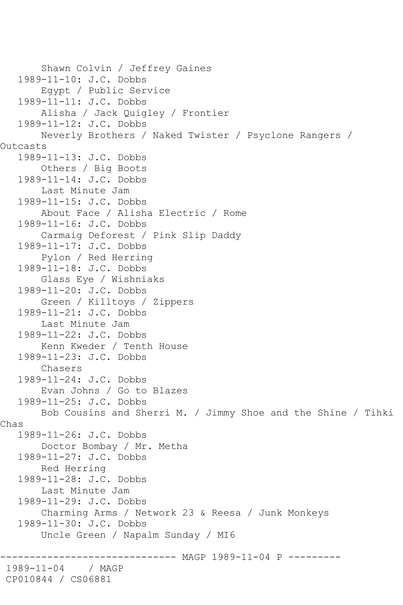Shawn Colvin / Jeffrey Gaines 1989-11-10: J.C. Dobbs Egypt / Public Service 1989-11-11: J.C. Dobbs Alisha / Jack Quigley / Frontier 1989-11-12: J.C. Dobbs Neverly Brothers / Naked Twister / Psyclone Rangers / Outcasts 1989-11-13: J.C. Dobbs Others / Big Boots 1989-11-14: J.C. Dobbs Last Minute Jam 1989-11-15: J.C. Dobbs About Face / Alisha Electric / Rome 1989-11-16: J.C. Dobbs Carmaig Deforest / Pink Slip Daddy 1989-11-17: J.C. Dobbs Pylon / Red Herring 1989-11-18: J.C. Dobbs Glass Eye / Wishniaks 1989-11-20: J.C. Dobbs Green / Killtoys / Zippers 1989-11-21: J.C. Dobbs Last Minute Jam 1989-11-22: J.C. Dobbs Kenn Kweder / Tenth House 1989-11-23: J.C. Dobbs Chasers 1989-11-24: J.C. Dobbs Evan Johns / Go to Blazes 1989-11-25: J.C. Dobbs Bob Cousins and Sherri M. / Jimmy Shoe and the Shine / Tihki Chas 1989-11-26: J.C. Dobbs Doctor Bombay / Mr. Metha 1989-11-27: J.C. Dobbs Red Herring 1989-11-28: J.C. Dobbs Last Minute Jam 1989-11-29: J.C. Dobbs Charming Arms / Network 23 & Reesa / Junk Monkeys 1989-11-30: J.C. Dobbs Uncle Green / Napalm Sunday / MI6 ------- MAGP 1989-11-04 P ---------1989-11-04 / MAGP CP010844 / CS06881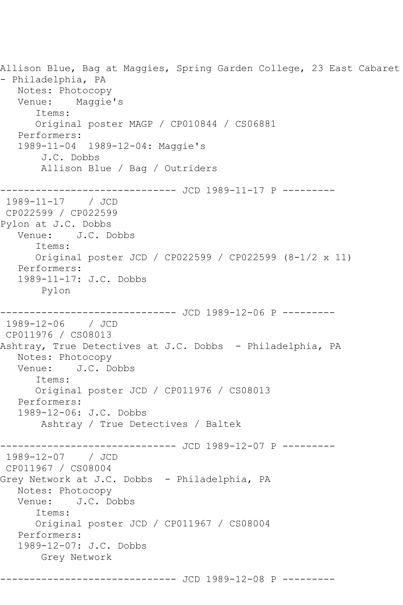Allison Blue, Bag at Maggies, Spring Garden College, 23 East Cabaret - Philadelphia, PA Notes: Photocopy Venue: Maggie's Items: Original poster MAGP / CP010844 / CS06881 Performers: 1989-11-04 1989-12-04: Maggie's J.C. Dobbs Allison Blue / Bag / Outriders --------------------- JCD 1989-11-17 P ---------1989-11-17 / JCD CP022599 / CP022599 Pylon at J.C. Dobbs Venue: J.C. Dobbs Items: Original poster JCD / CP022599 / CP022599 (8-1/2 x 11) Performers: 1989-11-17: J.C. Dobbs Pylon ------------------------------ JCD 1989-12-06 P --------- 1989-12-06 / JCD CP011976 / CS08013 Ashtray, True Detectives at J.C. Dobbs - Philadelphia, PA Notes: Photocopy Venue: J.C. Dobbs Items: Original poster JCD / CP011976 / CS08013 Performers: 1989-12-06: J.C. Dobbs Ashtray / True Detectives / Baltek ---------- JCD 1989-12-07 P ---------1989-12-07 / JCD CP011967 / CS08004 Grey Network at J.C. Dobbs - Philadelphia, PA Notes: Photocopy<br>Venue: J.C. Do J.C. Dobbs Items: Original poster JCD / CP011967 / CS08004 Performers: 1989-12-07: J.C. Dobbs Grey Network ------------------------------ JCD 1989-12-08 P ---------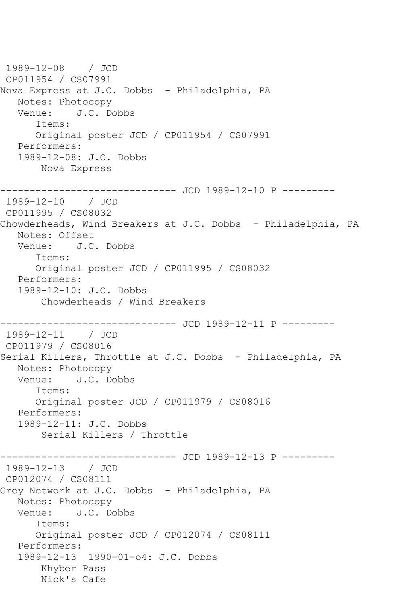1989-12-08 / JCD CP011954 / CS07991 Nova Express at J.C. Dobbs - Philadelphia, PA Notes: Photocopy<br>Venue: J.C. Do J.C. Dobbs Items: Original poster JCD / CP011954 / CS07991 Performers: 1989-12-08: J.C. Dobbs Nova Express ------------------------------ JCD 1989-12-10 P --------- 1989-12-10 / JCD CP011995 / CS08032 Chowderheads, Wind Breakers at J.C. Dobbs - Philadelphia, PA Notes: Offset Venue: J.C. Dobbs Items: Original poster JCD / CP011995 / CS08032 Performers: 1989-12-10: J.C. Dobbs Chowderheads / Wind Breakers ------------------------------ JCD 1989-12-11 P --------- 1989-12-11 / JCD CP011979 / CS08016 Serial Killers, Throttle at J.C. Dobbs - Philadelphia, PA Notes: Photocopy Venue: J.C. Dobbs Items: Original poster JCD / CP011979 / CS08016 Performers: 1989-12-11: J.C. Dobbs Serial Killers / Throttle ------------------------------ JCD 1989-12-13 P --------- 1989-12-13 / JCD CP012074 / CS08111 Grey Network at J.C. Dobbs - Philadelphia, PA Notes: Photocopy Venue: J.C. Dobbs Items: Original poster JCD / CP012074 / CS08111 Performers: 1989-12-13 1990-01-o4: J.C. Dobbs Khyber Pass Nick's Cafe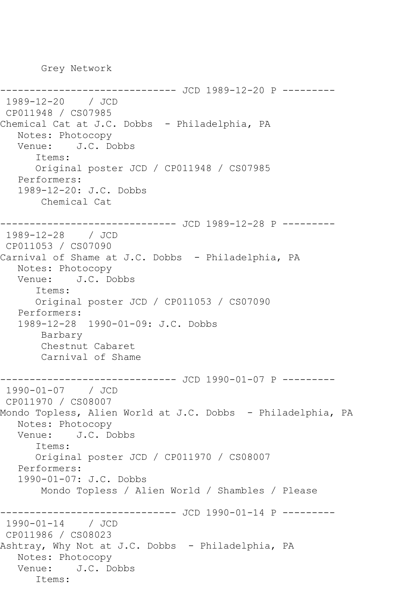Grey Network

```
------------- JCD 1989-12-20 P ---------
1989-12-20 / JCD 
CP011948 / CS07985
Chemical Cat at J.C. Dobbs - Philadelphia, PA
   Notes: Photocopy
   Venue: J.C. Dobbs
      Items:
      Original poster JCD / CP011948 / CS07985
   Performers:
   1989-12-20: J.C. Dobbs
       Chemical Cat
------------------------------ JCD 1989-12-28 P ---------
1989-12-28 / JCD 
CP011053 / CS07090
Carnival of Shame at J.C. Dobbs - Philadelphia, PA
   Notes: Photocopy
   Venue: J.C. Dobbs
      Items:
      Original poster JCD / CP011053 / CS07090
   Performers:
   1989-12-28 1990-01-09: J.C. Dobbs
       Barbary
       Chestnut Cabaret
       Carnival of Shame
------------------------------ JCD 1990-01-07 P ---------
1990-01-07 / JCD 
CP011970 / CS08007
Mondo Topless, Alien World at J.C. Dobbs - Philadelphia, PA
   Notes: Photocopy
   Venue: J.C. Dobbs
      Items:
      Original poster JCD / CP011970 / CS08007
   Performers:
   1990-01-07: J.C. Dobbs
       Mondo Topless / Alien World / Shambles / Please
                   ----------- JCD 1990-01-14 P ---------
1990-01-14 / JCD 
CP011986 / CS08023
Ashtray, Why Not at J.C. Dobbs - Philadelphia, PA
   Notes: Photocopy
   Venue: J.C. Dobbs
      Items:
```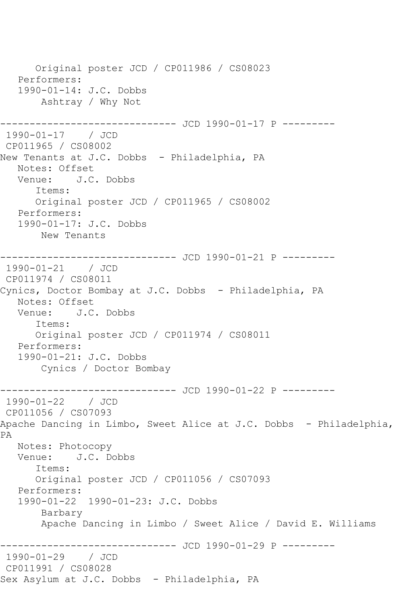Original poster JCD / CP011986 / CS08023 Performers: 1990-01-14: J.C. Dobbs Ashtray / Why Not ------------------------------ JCD 1990-01-17 P --------- 1990-01-17 / JCD CP011965 / CS08002 New Tenants at J.C. Dobbs - Philadelphia, PA Notes: Offset Venue: J.C. Dobbs Items: Original poster JCD / CP011965 / CS08002 Performers: 1990-01-17: J.C. Dobbs New Tenants ------------------------------ JCD 1990-01-21 P --------- 1990-01-21 / JCD CP011974 / CS08011 Cynics, Doctor Bombay at J.C. Dobbs - Philadelphia, PA Notes: Offset Venue: J.C. Dobbs Items: Original poster JCD / CP011974 / CS08011 Performers: 1990-01-21: J.C. Dobbs Cynics / Doctor Bombay ----------------------------- JCD 1990-01-22 P ---------1990-01-22 / JCD CP011056 / CS07093 Apache Dancing in Limbo, Sweet Alice at J.C. Dobbs - Philadelphia, PA Notes: Photocopy Venue: J.C. Dobbs Items: Original poster JCD / CP011056 / CS07093 Performers: 1990-01-22 1990-01-23: J.C. Dobbs Barbary Apache Dancing in Limbo / Sweet Alice / David E. Williams ------------------------------ JCD 1990-01-29 P --------- 1990-01-29 / JCD CP011991 / CS08028 Sex Asylum at J.C. Dobbs - Philadelphia, PA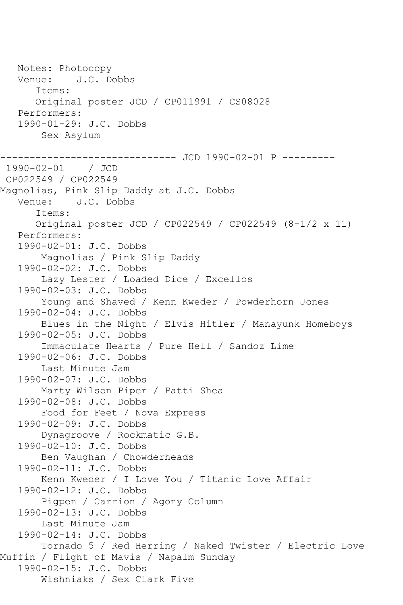Notes: Photocopy Venue: J.C. Dobbs Items: Original poster JCD / CP011991 / CS08028 Performers: 1990-01-29: J.C. Dobbs Sex Asylum ------------------------------ JCD 1990-02-01 P --------- 1990-02-01 / JCD CP022549 / CP022549 Magnolias, Pink Slip Daddy at J.C. Dobbs Venue: J.C. Dobbs Items: Original poster JCD / CP022549 / CP022549 (8-1/2 x 11) Performers: 1990-02-01: J.C. Dobbs Magnolias / Pink Slip Daddy 1990-02-02: J.C. Dobbs Lazy Lester / Loaded Dice / Excellos 1990-02-03: J.C. Dobbs Young and Shaved / Kenn Kweder / Powderhorn Jones 1990-02-04: J.C. Dobbs Blues in the Night / Elvis Hitler / Manayunk Homeboys 1990-02-05: J.C. Dobbs Immaculate Hearts / Pure Hell / Sandoz Lime 1990-02-06: J.C. Dobbs Last Minute Jam 1990-02-07: J.C. Dobbs Marty Wilson Piper / Patti Shea 1990-02-08: J.C. Dobbs Food for Feet / Nova Express 1990-02-09: J.C. Dobbs Dynagroove / Rockmatic G.B. 1990-02-10: J.C. Dobbs Ben Vaughan / Chowderheads 1990-02-11: J.C. Dobbs Kenn Kweder / I Love You / Titanic Love Affair 1990-02-12: J.C. Dobbs Pigpen / Carrion / Agony Column 1990-02-13: J.C. Dobbs Last Minute Jam 1990-02-14: J.C. Dobbs Tornado 5 / Red Herring / Naked Twister / Electric Love Muffin / Flight of Mavis / Napalm Sunday 1990-02-15: J.C. Dobbs Wishniaks / Sex Clark Five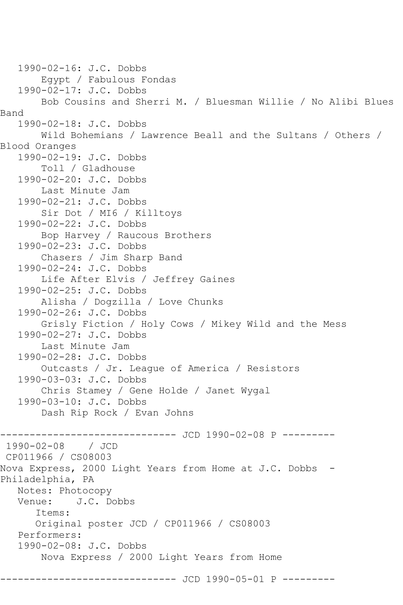1990-02-16: J.C. Dobbs Egypt / Fabulous Fondas 1990-02-17: J.C. Dobbs Bob Cousins and Sherri M. / Bluesman Willie / No Alibi Blues Band 1990-02-18: J.C. Dobbs Wild Bohemians / Lawrence Beall and the Sultans / Others / Blood Oranges 1990-02-19: J.C. Dobbs Toll / Gladhouse 1990-02-20: J.C. Dobbs Last Minute Jam 1990-02-21: J.C. Dobbs Sir Dot / MI6 / Killtoys 1990-02-22: J.C. Dobbs Bop Harvey / Raucous Brothers 1990-02-23: J.C. Dobbs Chasers / Jim Sharp Band 1990-02-24: J.C. Dobbs Life After Elvis / Jeffrey Gaines 1990-02-25: J.C. Dobbs Alisha / Dogzilla / Love Chunks 1990-02-26: J.C. Dobbs Grisly Fiction / Holy Cows / Mikey Wild and the Mess 1990-02-27: J.C. Dobbs Last Minute Jam 1990-02-28: J.C. Dobbs Outcasts / Jr. League of America / Resistors 1990-03-03: J.C. Dobbs Chris Stamey / Gene Holde / Janet Wygal 1990-03-10: J.C. Dobbs Dash Rip Rock / Evan Johns ------------------------------ JCD 1990-02-08 P --------- 1990-02-08 / JCD CP011966 / CS08003 Nova Express, 2000 Light Years from Home at J.C. Dobbs - Philadelphia, PA Notes: Photocopy<br>Venue: J.C. Do J.C. Dobbs Items: Original poster JCD / CP011966 / CS08003 Performers: 1990-02-08: J.C. Dobbs Nova Express / 2000 Light Years from Home ---------- JCD 1990-05-01 P ---------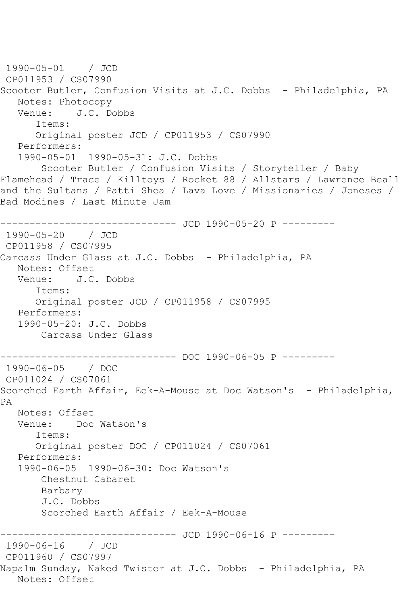```
1990-05-01 / JCD 
CP011953 / CS07990
Scooter Butler, Confusion Visits at J.C. Dobbs - Philadelphia, PA
  Notes: Photocopy<br>Venue: J.C. D
           J.C. Dobbs
       Items:
      Original poster JCD / CP011953 / CS07990
   Performers:
   1990-05-01 1990-05-31: J.C. Dobbs
        Scooter Butler / Confusion Visits / Storyteller / Baby 
Flamehead / Trace / Killtoys / Rocket 88 / Allstars / Lawrence Beall 
and the Sultans / Patti Shea / Lava Love / Missionaries / Joneses / 
Bad Modines / Last Minute Jam
------------------------------ JCD 1990-05-20 P ---------
1990-05-20 / JCD 
CP011958 / CS07995
Carcass Under Glass at J.C. Dobbs - Philadelphia, PA
   Notes: Offset
   Venue: J.C. Dobbs
       Items:
       Original poster JCD / CP011958 / CS07995
   Performers:
   1990-05-20: J.C. Dobbs
        Carcass Under Glass
------------------------------ DOC 1990-06-05 P ---------
1990-06-05 / DOC 
CP011024 / CS07061
Scorched Earth Affair, Eek-A-Mouse at Doc Watson's - Philadelphia, 
PA
   Notes: Offset
   Venue: Doc Watson's
       Items:
       Original poster DOC / CP011024 / CS07061
   Performers:
   1990-06-05 1990-06-30: Doc Watson's
        Chestnut Cabaret
       Barbary
        J.C. Dobbs
        Scorched Earth Affair / Eek-A-Mouse
             ----------------- JCD 1990-06-16 P ---------
1990-06-16 / JCD 
CP011960 / CS07997
Napalm Sunday, Naked Twister at J.C. Dobbs - Philadelphia, PA
   Notes: Offset
```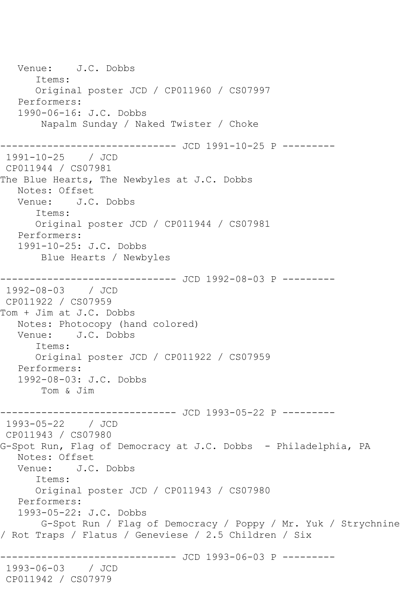Venue: J.C. Dobbs Items: Original poster JCD / CP011960 / CS07997 Performers: 1990-06-16: J.C. Dobbs Napalm Sunday / Naked Twister / Choke ------------------------------ JCD 1991-10-25 P --------- 1991-10-25 / JCD CP011944 / CS07981 The Blue Hearts, The Newbyles at J.C. Dobbs Notes: Offset<br>Venue: J.C. Venue: J.C. Dobbs Items: Original poster JCD / CP011944 / CS07981 Performers: 1991-10-25: J.C. Dobbs Blue Hearts / Newbyles ----------------------------- JCD 1992-08-03 P ---------1992-08-03 / JCD CP011922 / CS07959 Tom + Jim at J.C. Dobbs Notes: Photocopy (hand colored) Venue: J.C. Dobbs Items: Original poster JCD / CP011922 / CS07959 Performers: 1992-08-03: J.C. Dobbs Tom & Jim ------------------------------ JCD 1993-05-22 P --------- 1993-05-22 / JCD CP011943 / CS07980 G-Spot Run, Flag of Democracy at J.C. Dobbs - Philadelphia, PA Notes: Offset Venue: J.C. Dobbs Items: Original poster JCD / CP011943 / CS07980 Performers: 1993-05-22: J.C. Dobbs G-Spot Run / Flag of Democracy / Poppy / Mr. Yuk / Strychnine / Rot Traps / Flatus / Geneviese / 2.5 Children / Six ------------------------------ JCD 1993-06-03 P --------- 1993-06-03 / JCD CP011942 / CS07979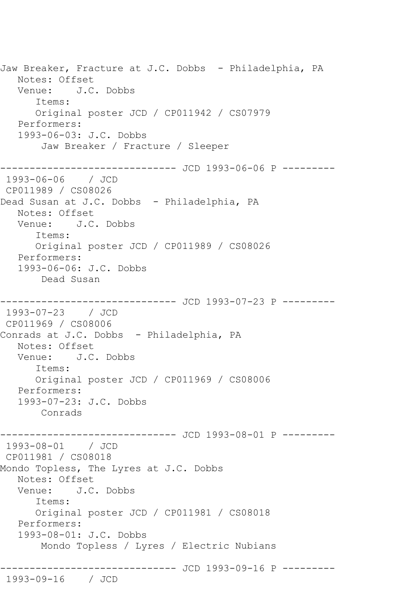Jaw Breaker, Fracture at J.C. Dobbs - Philadelphia, PA Notes: Offset Venue: J.C. Dobbs Items: Original poster JCD / CP011942 / CS07979 Performers: 1993-06-03: J.C. Dobbs Jaw Breaker / Fracture / Sleeper ------------------------------ JCD 1993-06-06 P --------- 1993-06-06 / JCD CP011989 / CS08026 Dead Susan at J.C. Dobbs - Philadelphia, PA Notes: Offset Venue: J.C. Dobbs Items: Original poster JCD / CP011989 / CS08026 Performers: 1993-06-06: J.C. Dobbs Dead Susan ------------ JCD 1993-07-23 P ---------1993-07-23 / JCD CP011969 / CS08006 Conrads at J.C. Dobbs - Philadelphia, PA Notes: Offset Venue: J.C. Dobbs Items: Original poster JCD / CP011969 / CS08006 Performers: 1993-07-23: J.C. Dobbs Conrads ------------------------------ JCD 1993-08-01 P --------- 1993-08-01 / JCD CP011981 / CS08018 Mondo Topless, The Lyres at J.C. Dobbs Notes: Offset Venue: J.C. Dobbs Items: Original poster JCD / CP011981 / CS08018 Performers: 1993-08-01: J.C. Dobbs Mondo Topless / Lyres / Electric Nubians ------------------------------ JCD 1993-09-16 P --------- 1993-09-16 / JCD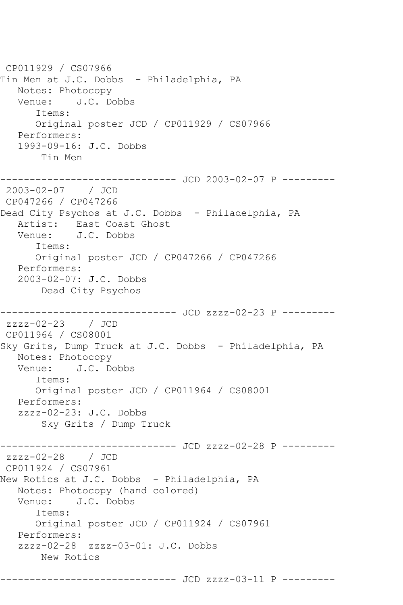CP011929 / CS07966 Tin Men at J.C. Dobbs - Philadelphia, PA Notes: Photocopy Venue: J.C. Dobbs Items: Original poster JCD / CP011929 / CS07966 Performers: 1993-09-16: J.C. Dobbs Tin Men ----------------------------- JCD 2003-02-07 P ---------2003-02-07 / JCD CP047266 / CP047266 Dead City Psychos at J.C. Dobbs - Philadelphia, PA Artist: East Coast Ghost Venue: J.C. Dobbs Items: Original poster JCD / CP047266 / CP047266 Performers: 2003-02-07: J.C. Dobbs Dead City Psychos ------------------------------ JCD zzzz-02-23 P -------- zzzz-02-23 / JCD CP011964 / CS08001 Sky Grits, Dump Truck at J.C. Dobbs - Philadelphia, PA Notes: Photocopy Venue: J.C. Dobbs Items: Original poster JCD / CP011964 / CS08001 Performers: zzzz-02-23: J.C. Dobbs Sky Grits / Dump Truck ----------- JCD zzzz-02-28 P --------zzzz-02-28 / JCD CP011924 / CS07961 New Rotics at J.C. Dobbs - Philadelphia, PA Notes: Photocopy (hand colored) Venue: J.C. Dobbs Items: Original poster JCD / CP011924 / CS07961 Performers: zzzz-02-28 zzzz-03-01: J.C. Dobbs New Rotics ------------------------------ JCD zzzz-03-11 P ---------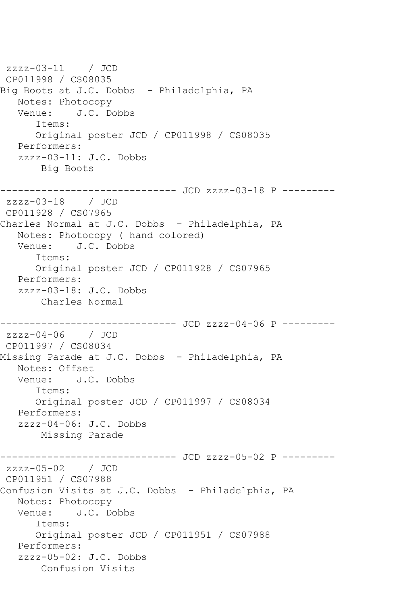```
zzzz-03-11 / JCD 
CP011998 / CS08035
Big Boots at J.C. Dobbs - Philadelphia, PA
  Notes: Photocopy<br>Venue: J.C. Do
          J.C. Dobbs
       Items:
      Original poster JCD / CP011998 / CS08035
   Performers:
   zzzz-03-11: J.C. Dobbs
       Big Boots
------------------------------ JCD zzzz-03-18 P ---------
zzzz-03-18 / JCD 
CP011928 / CS07965
Charles Normal at J.C. Dobbs - Philadelphia, PA
   Notes: Photocopy ( hand colored)
   Venue: J.C. Dobbs
       Items:
       Original poster JCD / CP011928 / CS07965
   Performers:
   zzzz-03-18: J.C. Dobbs
       Charles Normal
------------------------------ JCD zzzz-04-06 P ---------
zzzz-04-06 / JCD 
CP011997 / CS08034
Missing Parade at J.C. Dobbs - Philadelphia, PA
   Notes: Offset
   Venue: J.C. Dobbs
       Items:
      Original poster JCD / CP011997 / CS08034
   Performers:
   zzzz-04-06: J.C. Dobbs
       Missing Parade
------------------------------ JCD zzzz-05-02 P ---------
zzzz-05-02 / JCD 
CP011951 / CS07988
Confusion Visits at J.C. Dobbs - Philadelphia, PA
   Notes: Photocopy
   Venue: J.C. Dobbs
       Items:
       Original poster JCD / CP011951 / CS07988
   Performers:
   zzzz-05-02: J.C. Dobbs
       Confusion Visits
```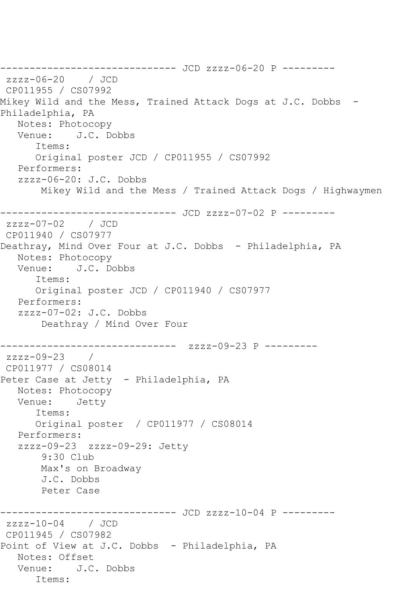------------------------------ JCD zzzz-06-20 P -------- zzzz-06-20 / JCD CP011955 / CS07992 Mikey Wild and the Mess, Trained Attack Dogs at J.C. Dobbs - Philadelphia, PA Notes: Photocopy Venue: J.C. Dobbs Items: Original poster JCD / CP011955 / CS07992 Performers: zzzz-06-20: J.C. Dobbs Mikey Wild and the Mess / Trained Attack Dogs / Highwaymen ------------------------------ JCD zzzz-07-02 P -------- zzzz-07-02 / JCD CP011940 / CS07977 Deathray, Mind Over Four at J.C. Dobbs - Philadelphia, PA Notes: Photocopy<br>Venue: J.C. D J.C. Dobbs Items: Original poster JCD / CP011940 / CS07977 Performers: zzzz-07-02: J.C. Dobbs Deathray / Mind Over Four ------------------------------ zzzz-09-23 P -------- zzzz-09-23 / CP011977 / CS08014 Peter Case at Jetty - Philadelphia, PA Notes: Photocopy Venue: Jetty Items: Original poster / CP011977 / CS08014 Performers: zzzz-09-23 zzzz-09-29: Jetty 9:30 Club Max's on Broadway J.C. Dobbs Peter Case ----------------- JCD zzzz-10-04 P --------zzzz-10-04 / JCD CP011945 / CS07982 Point of View at J.C. Dobbs - Philadelphia, PA Notes: Offset Venue: J.C. Dobbs Items: